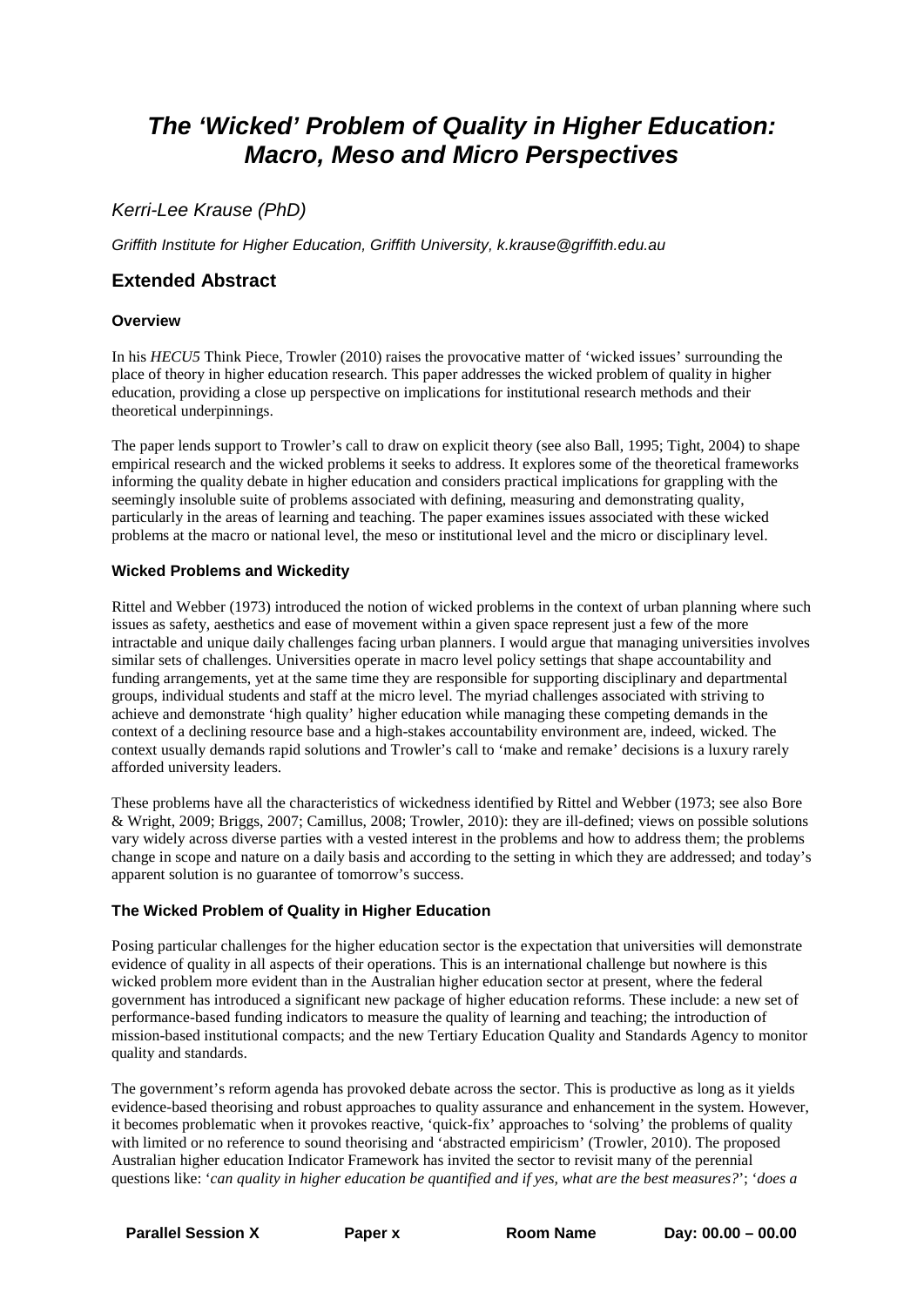# *The 'Wicked' Problem of Quality in Higher Education: Macro, Meso and Micro Perspectives*

## *Kerri-Lee Krause (PhD)*

*Griffith Institute for Higher Education, Griffith University, k.krause@griffith.edu.au*

### **Extended Abstract**

#### **Overview**

In his *HECU5* Think Piece, Trowler (2010) raises the provocative matter of 'wicked issues' surrounding the place of theory in higher education research. This paper addresses the wicked problem of quality in higher education, providing a close up perspective on implications for institutional research methods and their theoretical underpinnings.

The paper lends support to Trowler's call to draw on explicit theory (see also Ball, 1995; Tight, 2004) to shape empirical research and the wicked problems it seeks to address. It explores some of the theoretical frameworks informing the quality debate in higher education and considers practical implications for grappling with the seemingly insoluble suite of problems associated with defining, measuring and demonstrating quality, particularly in the areas of learning and teaching. The paper examines issues associated with these wicked problems at the macro or national level, the meso or institutional level and the micro or disciplinary level.

#### **Wicked Problems and Wickedity**

Rittel and Webber (1973) introduced the notion of wicked problems in the context of urban planning where such issues as safety, aesthetics and ease of movement within a given space represent just a few of the more intractable and unique daily challenges facing urban planners. I would argue that managing universities involves similar sets of challenges. Universities operate in macro level policy settings that shape accountability and funding arrangements, yet at the same time they are responsible for supporting disciplinary and departmental groups, individual students and staff at the micro level. The myriad challenges associated with striving to achieve and demonstrate 'high quality' higher education while managing these competing demands in the context of a declining resource base and a high-stakes accountability environment are, indeed, wicked. The context usually demands rapid solutions and Trowler's call to 'make and remake' decisions is a luxury rarely afforded university leaders.

These problems have all the characteristics of wickedness identified by Rittel and Webber (1973; see also Bore & Wright, 2009; Briggs, 2007; Camillus, 2008; Trowler, 2010): they are ill-defined; views on possible solutions vary widely across diverse parties with a vested interest in the problems and how to address them; the problems change in scope and nature on a daily basis and according to the setting in which they are addressed; and today's apparent solution is no guarantee of tomorrow's success.

#### **The Wicked Problem of Quality in Higher Education**

Posing particular challenges for the higher education sector is the expectation that universities will demonstrate evidence of quality in all aspects of their operations. This is an international challenge but nowhere is this wicked problem more evident than in the Australian higher education sector at present, where the federal government has introduced a significant new package of higher education reforms. These include: a new set of performance-based funding indicators to measure the quality of learning and teaching; the introduction of mission-based institutional compacts; and the new Tertiary Education Quality and Standards Agency to monitor quality and standards.

The government's reform agenda has provoked debate across the sector. This is productive as long as it yields evidence-based theorising and robust approaches to quality assurance and enhancement in the system. However, it becomes problematic when it provokes reactive, 'quick-fix' approaches to 'solving' the problems of quality with limited or no reference to sound theorising and 'abstracted empiricism' (Trowler, 2010). The proposed Australian higher education Indicator Framework has invited the sector to revisit many of the perennial questions like: '*can quality in higher education be quantified and if yes, what are the best measures?*'; '*does a*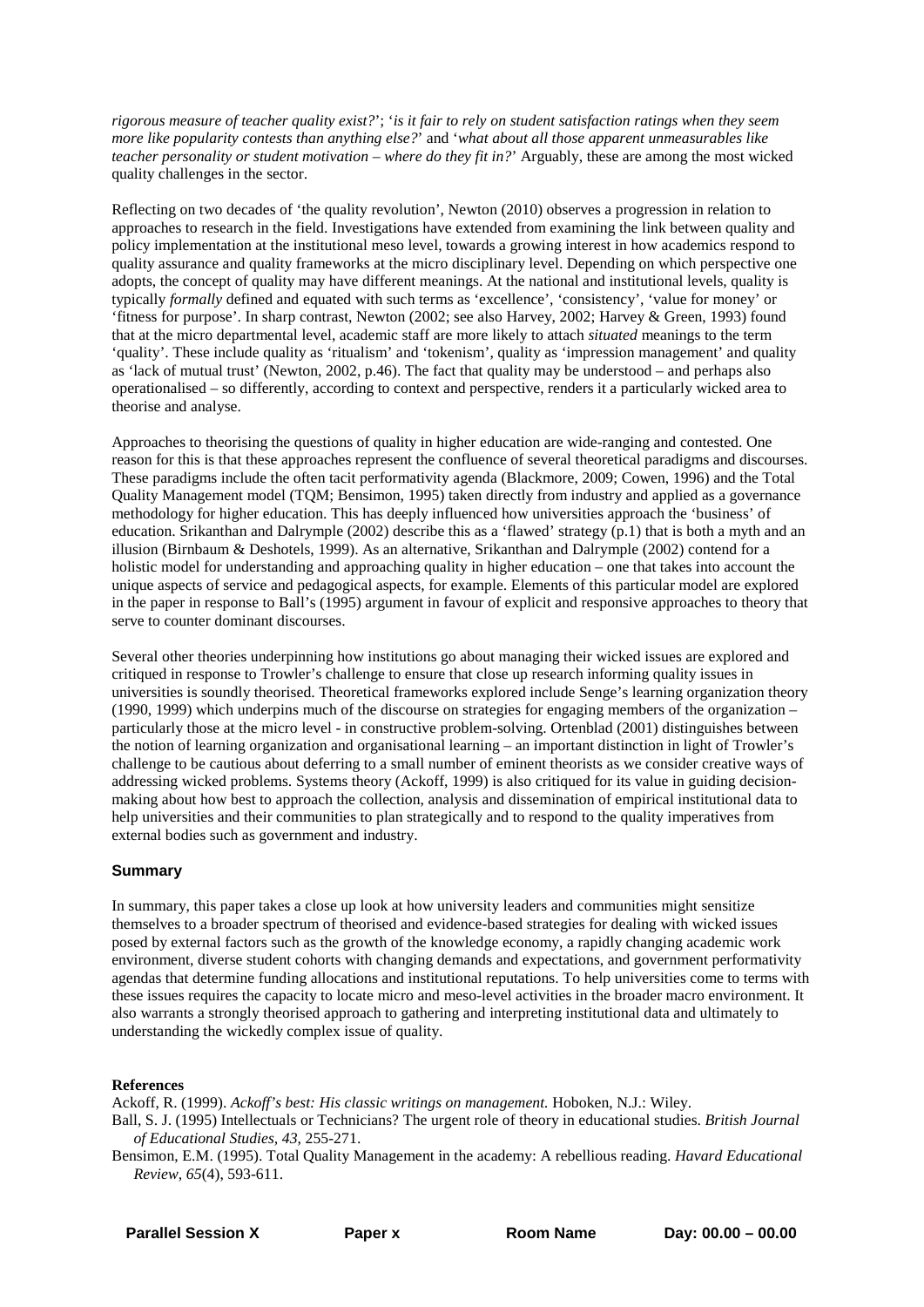*rigorous measure of teacher quality exist?*'; '*is it fair to rely on student satisfaction ratings when they seem more like popularity contests than anything else?*' and '*what about all those apparent unmeasurables like teacher personality or student motivation – where do they fit in?*' Arguably, these are among the most wicked quality challenges in the sector.

Reflecting on two decades of 'the quality revolution', Newton (2010) observes a progression in relation to approaches to research in the field. Investigations have extended from examining the link between quality and policy implementation at the institutional meso level, towards a growing interest in how academics respond to quality assurance and quality frameworks at the micro disciplinary level. Depending on which perspective one adopts, the concept of quality may have different meanings. At the national and institutional levels, quality is typically *formally* defined and equated with such terms as 'excellence', 'consistency', 'value for money' or 'fitness for purpose'. In sharp contrast, Newton (2002; see also Harvey, 2002; Harvey & Green, 1993) found that at the micro departmental level, academic staff are more likely to attach *situated* meanings to the term 'quality'. These include quality as 'ritualism' and 'tokenism', quality as 'impression management' and quality as 'lack of mutual trust' (Newton, 2002, p.46). The fact that quality may be understood – and perhaps also operationalised – so differently, according to context and perspective, renders it a particularly wicked area to theorise and analyse.

Approaches to theorising the questions of quality in higher education are wide-ranging and contested. One reason for this is that these approaches represent the confluence of several theoretical paradigms and discourses. These paradigms include the often tacit performativity agenda (Blackmore, 2009; Cowen, 1996) and the Total Quality Management model (TQM; Bensimon, 1995) taken directly from industry and applied as a governance methodology for higher education. This has deeply influenced how universities approach the 'business' of education. Srikanthan and Dalrymple (2002) describe this as a 'flawed' strategy (p.1) that is both a myth and an illusion (Birnbaum & Deshotels, 1999). As an alternative, Srikanthan and Dalrymple (2002) contend for a holistic model for understanding and approaching quality in higher education – one that takes into account the unique aspects of service and pedagogical aspects, for example. Elements of this particular model are explored in the paper in response to Ball's (1995) argument in favour of explicit and responsive approaches to theory that serve to counter dominant discourses.

Several other theories underpinning how institutions go about managing their wicked issues are explored and critiqued in response to Trowler's challenge to ensure that close up research informing quality issues in universities is soundly theorised. Theoretical frameworks explored include Senge's learning organization theory (1990, 1999) which underpins much of the discourse on strategies for engaging members of the organization – particularly those at the micro level - in constructive problem-solving. Ortenblad (2001) distinguishes between the notion of learning organization and organisational learning – an important distinction in light of Trowler's challenge to be cautious about deferring to a small number of eminent theorists as we consider creative ways of addressing wicked problems. Systems theory (Ackoff, 1999) is also critiqued for its value in guiding decisionmaking about how best to approach the collection, analysis and dissemination of empirical institutional data to help universities and their communities to plan strategically and to respond to the quality imperatives from external bodies such as government and industry.

#### **Summary**

In summary, this paper takes a close up look at how university leaders and communities might sensitize themselves to a broader spectrum of theorised and evidence-based strategies for dealing with wicked issues posed by external factors such as the growth of the knowledge economy, a rapidly changing academic work environment, diverse student cohorts with changing demands and expectations, and government performativity agendas that determine funding allocations and institutional reputations. To help universities come to terms with these issues requires the capacity to locate micro and meso-level activities in the broader macro environment. It also warrants a strongly theorised approach to gathering and interpreting institutional data and ultimately to understanding the wickedly complex issue of quality.

#### **References**

Ackoff, R. (1999). *Ackoff's best: His classic writings on management.* Hoboken, N.J.: Wiley.

Ball, S. J. (1995) Intellectuals or Technicians? The urgent role of theory in educational studies. *British Journal of Educational Studies, 43*, 255-271.

Bensimon, E.M. (1995). Total Quality Management in the academy: A rebellious reading. *Havard Educational Review*, *65*(4), 593-611.